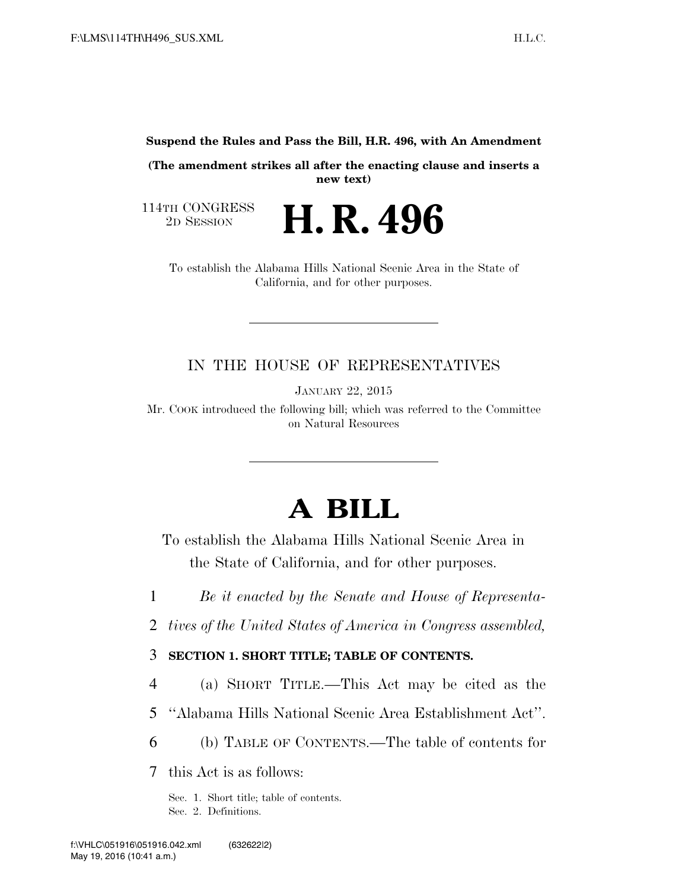**Suspend the Rules and Pass the Bill, H.R. 496, with An Amendment** 

**(The amendment strikes all after the enacting clause and inserts a new text)** 

114TH CONGRESS<br>2D SESSION

2D SESSION **H. R. 496**

To establish the Alabama Hills National Scenic Area in the State of California, and for other purposes.

### IN THE HOUSE OF REPRESENTATIVES

JANUARY 22, 2015

Mr. COOK introduced the following bill; which was referred to the Committee on Natural Resources

# **A BILL**

To establish the Alabama Hills National Scenic Area in the State of California, and for other purposes.

1 *Be it enacted by the Senate and House of Representa-*

2 *tives of the United States of America in Congress assembled,* 

3 **SECTION 1. SHORT TITLE; TABLE OF CONTENTS.** 

4 (a) SHORT TITLE.—This Act may be cited as the

- 5 ''Alabama Hills National Scenic Area Establishment Act''.
- 6 (b) TABLE OF CONTENTS.—The table of contents for

7 this Act is as follows:

Sec. 1. Short title; table of contents. Sec. 2. Definitions.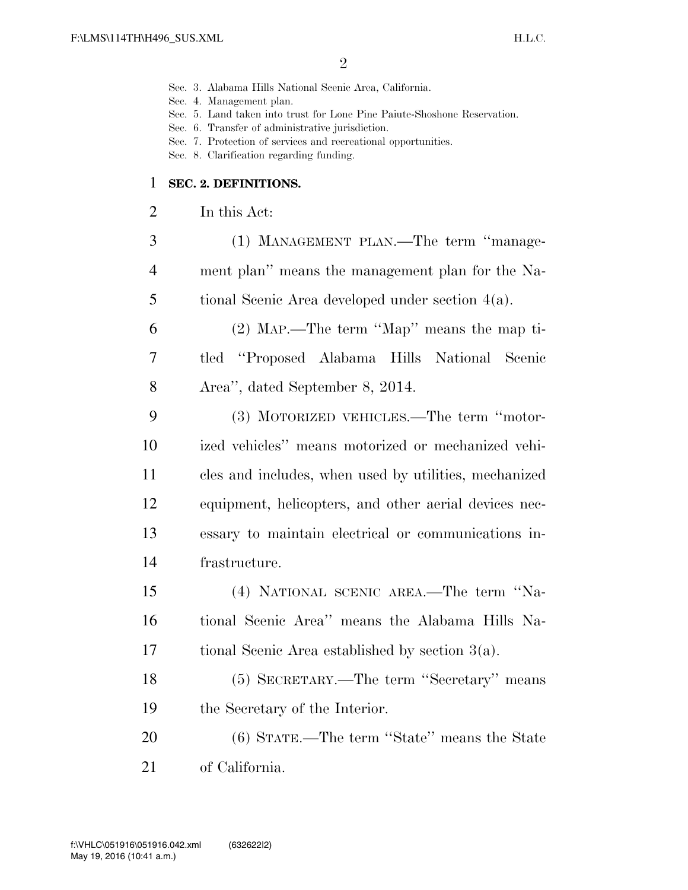- Sec. 3. Alabama Hills National Scenic Area, California.
- Sec. 4. Management plan.
- Sec. 5. Land taken into trust for Lone Pine Paiute-Shoshone Reservation.
- Sec. 6. Transfer of administrative jurisdiction.
- Sec. 7. Protection of services and recreational opportunities.
- Sec. 8. Clarification regarding funding.

#### **SEC. 2. DEFINITIONS.**

- In this Act:
- (1) MANAGEMENT PLAN.—The term ''manage- ment plan'' means the management plan for the Na-tional Scenic Area developed under section 4(a).
- (2) MAP.—The term ''Map'' means the map ti- tled ''Proposed Alabama Hills National Scenic Area'', dated September 8, 2014.
- (3) MOTORIZED VEHICLES.—The term ''motor- ized vehicles'' means motorized or mechanized vehi- cles and includes, when used by utilities, mechanized equipment, helicopters, and other aerial devices nec- essary to maintain electrical or communications in-frastructure.
- (4) NATIONAL SCENIC AREA.—The term ''Na- tional Scenic Area'' means the Alabama Hills Na-tional Scenic Area established by section 3(a).
- (5) SECRETARY.—The term ''Secretary'' means the Secretary of the Interior.
- (6) STATE.—The term ''State'' means the State of California.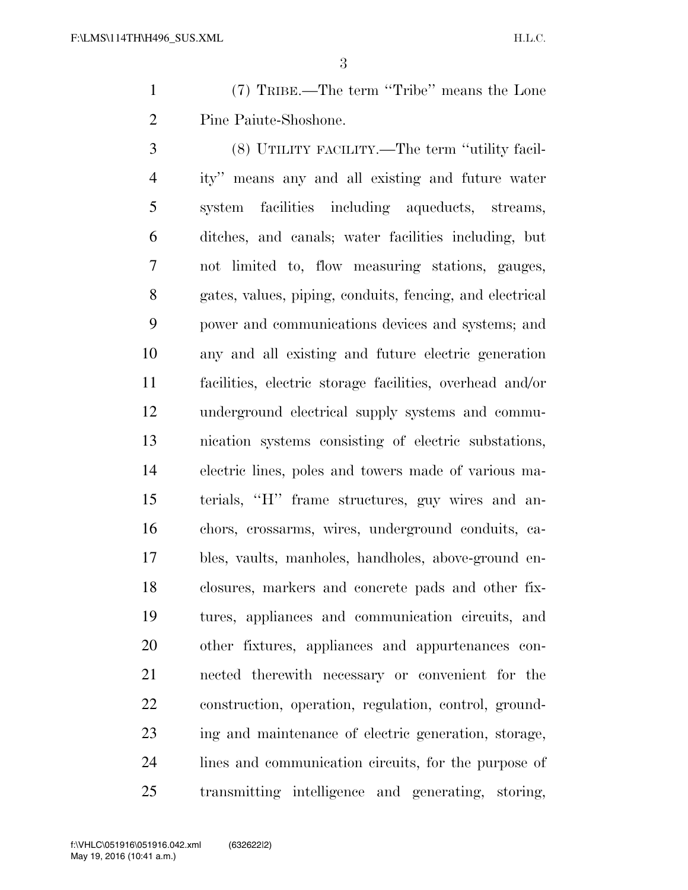(7) TRIBE.—The term ''Tribe'' means the Lone Pine Paiute-Shoshone.

 (8) UTILITY FACILITY.—The term ''utility facil- ity'' means any and all existing and future water system facilities including aqueducts, streams, ditches, and canals; water facilities including, but not limited to, flow measuring stations, gauges, gates, values, piping, conduits, fencing, and electrical power and communications devices and systems; and any and all existing and future electric generation facilities, electric storage facilities, overhead and/or underground electrical supply systems and commu- nication systems consisting of electric substations, electric lines, poles and towers made of various ma- terials, ''H'' frame structures, guy wires and an- chors, crossarms, wires, underground conduits, ca- bles, vaults, manholes, handholes, above-ground en- closures, markers and concrete pads and other fix- tures, appliances and communication circuits, and other fixtures, appliances and appurtenances con- nected therewith necessary or convenient for the construction, operation, regulation, control, ground- ing and maintenance of electric generation, storage, lines and communication circuits, for the purpose of transmitting intelligence and generating, storing,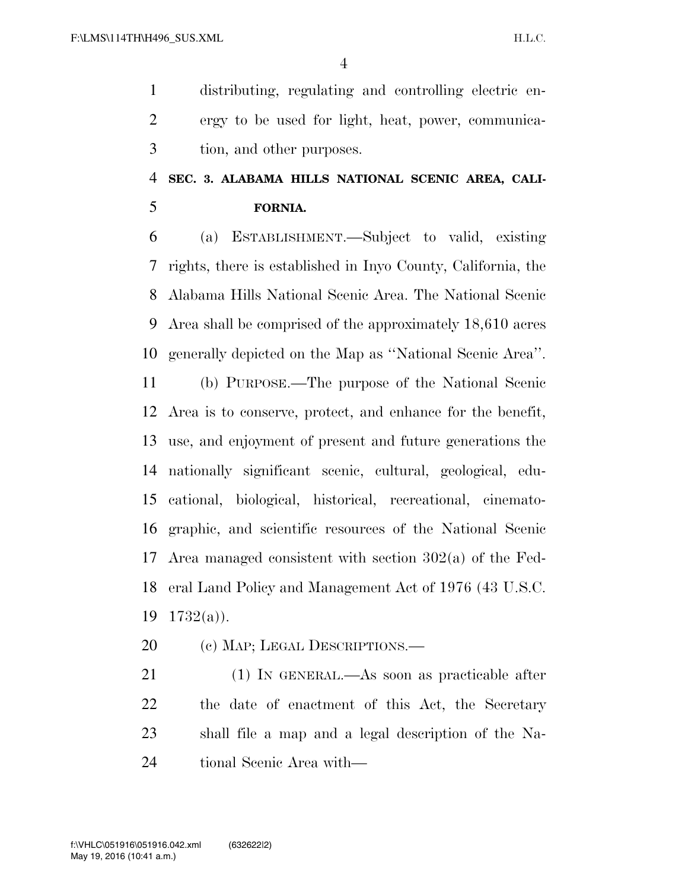distributing, regulating and controlling electric en- ergy to be used for light, heat, power, communica-tion, and other purposes.

### **SEC. 3. ALABAMA HILLS NATIONAL SCENIC AREA, CALI-FORNIA.**

 (a) ESTABLISHMENT.—Subject to valid, existing rights, there is established in Inyo County, California, the Alabama Hills National Scenic Area. The National Scenic Area shall be comprised of the approximately 18,610 acres generally depicted on the Map as ''National Scenic Area''.

 (b) PURPOSE.—The purpose of the National Scenic Area is to conserve, protect, and enhance for the benefit, use, and enjoyment of present and future generations the nationally significant scenic, cultural, geological, edu- cational, biological, historical, recreational, cinemato- graphic, and scientific resources of the National Scenic Area managed consistent with section 302(a) of the Fed- eral Land Policy and Management Act of 1976 (43 U.S.C. 1732(a)).

20 (c) MAP; LEGAL DESCRIPTIONS.—

 (1) IN GENERAL.—As soon as practicable after the date of enactment of this Act, the Secretary shall file a map and a legal description of the Na-tional Scenic Area with—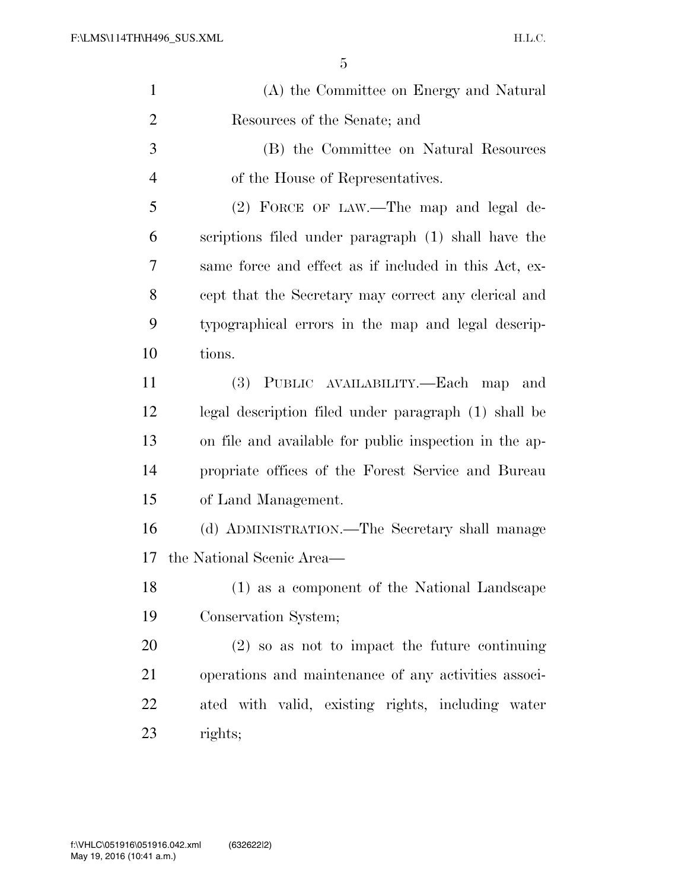| $\mathbf{1}$   | (A) the Committee on Energy and Natural                |
|----------------|--------------------------------------------------------|
| $\overline{2}$ | Resources of the Senate; and                           |
| 3              | (B) the Committee on Natural Resources                 |
| $\overline{4}$ | of the House of Representatives.                       |
| 5              | (2) FORCE OF LAW.—The map and legal de-                |
| 6              | scriptions filed under paragraph (1) shall have the    |
| 7              | same force and effect as if included in this Act, ex-  |
| 8              | cept that the Secretary may correct any clerical and   |
| 9              | typographical errors in the map and legal descrip-     |
| 10             | tions.                                                 |
| 11             | (3) PUBLIC AVAILABILITY.—Each map<br>and               |
| 12             | legal description filed under paragraph (1) shall be   |
| 13             | on file and available for public inspection in the ap- |
| 14             | propriate offices of the Forest Service and Bureau     |
| 15             | of Land Management.                                    |
| 16             | (d) ADMINISTRATION.—The Secretary shall manage         |
| 17             | the National Scenic Area—                              |
| 18             | (1) as a component of the National Landscape           |
| 19             | Conservation System;                                   |
| 20             | $(2)$ so as not to impact the future continuing        |
| 21             | operations and maintenance of any activities associ-   |
| 22             | ated with valid, existing rights, including water      |
| 23             | rights;                                                |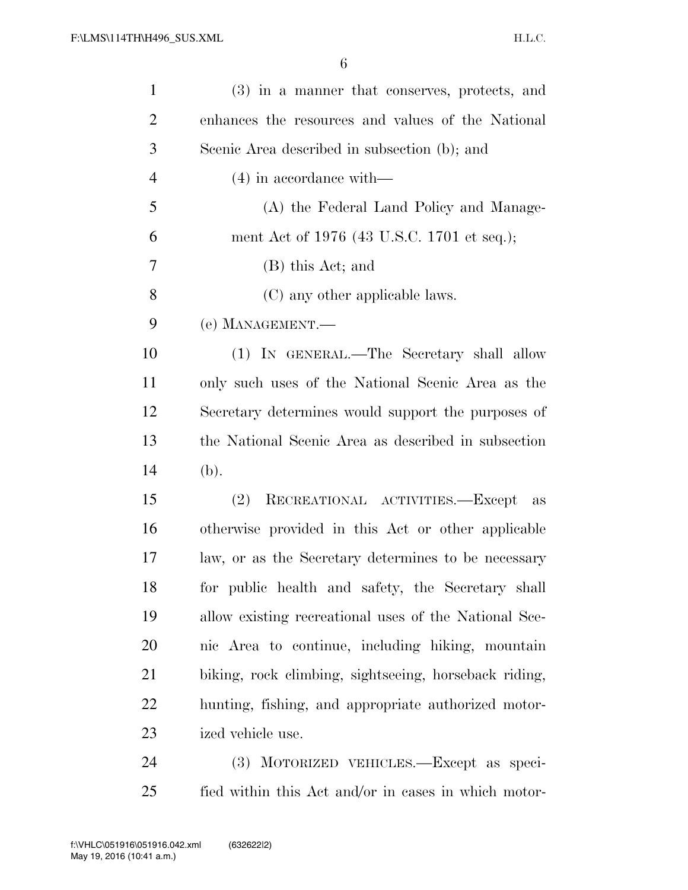| $\mathbf{1}$   | (3) in a manner that conserves, protects, and         |
|----------------|-------------------------------------------------------|
| $\overline{2}$ | enhances the resources and values of the National     |
| 3              | Scenic Area described in subsection (b); and          |
| $\overline{4}$ | $(4)$ in accordance with—                             |
| 5              | (A) the Federal Land Policy and Manage-               |
| 6              | ment Act of 1976 (43 U.S.C. 1701 et seq.);            |
| 7              | (B) this Act; and                                     |
| 8              | (C) any other applicable laws.                        |
| 9              | (e) MANAGEMENT.—                                      |
| 10             | (1) IN GENERAL.—The Secretary shall allow             |
| 11             | only such uses of the National Scenic Area as the     |
| 12             | Secretary determines would support the purposes of    |
| 13             | the National Scenic Area as described in subsection   |
| 14             | (b).                                                  |
| 15             | (2)<br>RECREATIONAL ACTIVITIES.—Except as             |
| 16             | otherwise provided in this Act or other applicable    |
| 17             | law, or as the Secretary determines to be necessary   |
| 18             | for public health and safety, the Secretary shall     |
| 19             | allow existing recreational uses of the National Sce- |
| 20             | nic Area to continue, including hiking, mountain      |
| 21             | biking, rock climbing, sightseeing, horseback riding, |
| 22             | hunting, fishing, and appropriate authorized motor-   |
| 23             | ized vehicle use.                                     |
| 24             | MOTORIZED VEHICLES.—Except as speci-<br><b>(3)</b>    |

fied within this Act and/or in cases in which motor-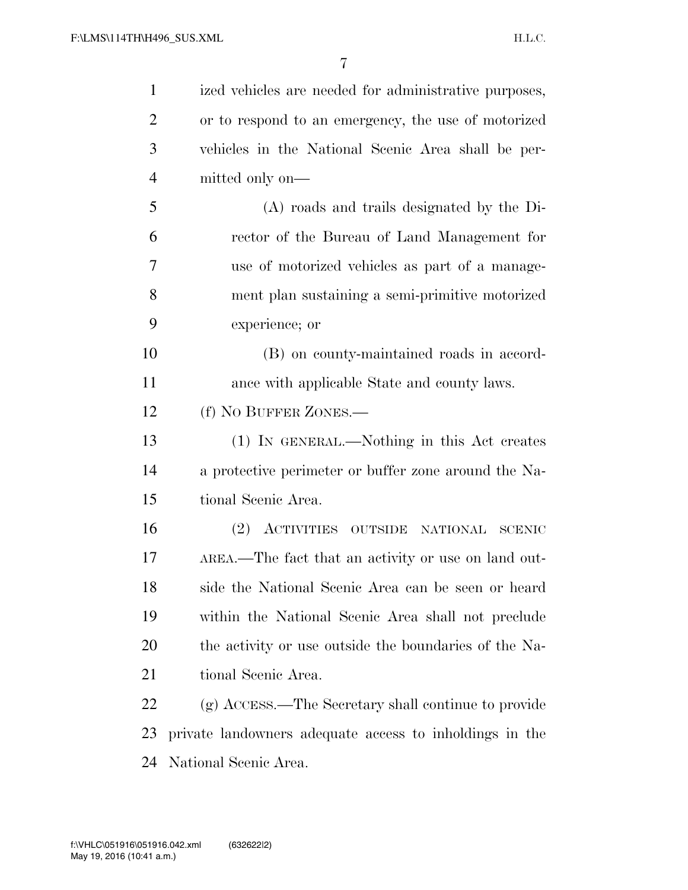| $\mathbf{1}$   | ized vehicles are needed for administrative purposes,   |
|----------------|---------------------------------------------------------|
| $\overline{2}$ | or to respond to an emergency, the use of motorized     |
| 3              | vehicles in the National Scenic Area shall be per-      |
| $\overline{4}$ | mitted only on—                                         |
| 5              | (A) roads and trails designated by the Di-              |
| 6              | rector of the Bureau of Land Management for             |
| 7              | use of motorized vehicles as part of a manage-          |
| 8              | ment plan sustaining a semi-primitive motorized         |
| 9              | experience; or                                          |
| 10             | (B) on county-maintained roads in accord-               |
| 11             | ance with applicable State and county laws.             |
| 12             | (f) NO BUFFER ZONES.—                                   |
| 13             | (1) IN GENERAL.—Nothing in this Act creates             |
| 14             | a protective perimeter or buffer zone around the Na-    |
| 15             | tional Scenic Area.                                     |
| 16             | (2) ACTIVITIES OUTSIDE NATIONAL SCENIC                  |
| 17             | AREA.—The fact that an activity or use on land out-     |
| 18             | side the National Scenic Area can be seen or heard      |
| 19             | within the National Scenic Area shall not preclude      |
| 20             | the activity or use outside the boundaries of the Na-   |
| 21             | tional Scenic Area.                                     |
| 22             | (g) ACCESS.—The Secretary shall continue to provide     |
| 23             | private landowners adequate access to inholdings in the |
| 24             | National Scenic Area.                                   |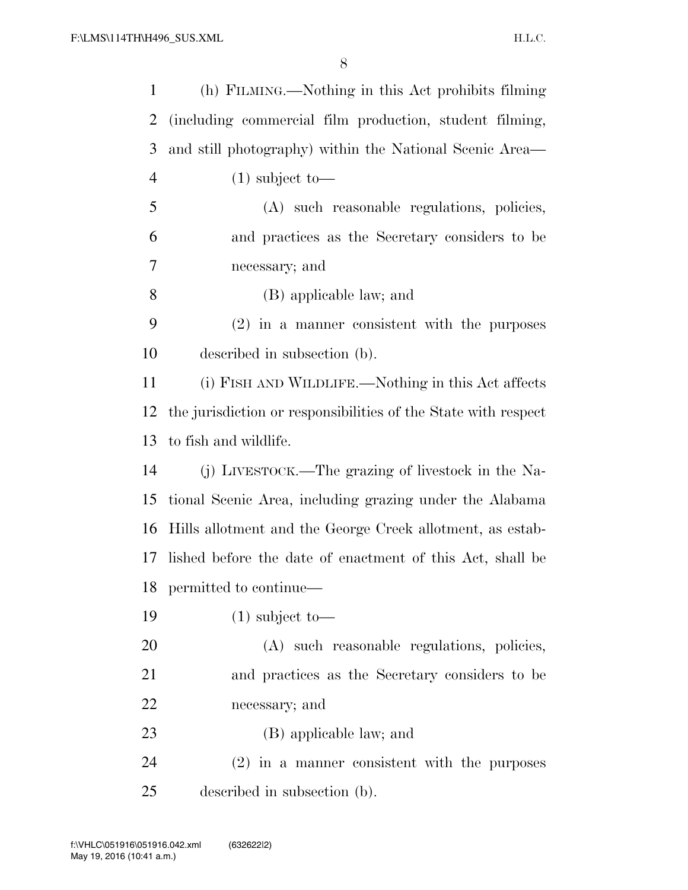| $\mathbf{1}$   | (h) FILMING.—Nothing in this Act prohibits filming             |
|----------------|----------------------------------------------------------------|
| 2              | (including commercial film production, student filming,        |
| 3              | and still photography) within the National Scenic Area—        |
| $\overline{4}$ | $(1)$ subject to-                                              |
| 5              | (A) such reasonable regulations, policies,                     |
| 6              | and practices as the Secretary considers to be                 |
| 7              | necessary; and                                                 |
| 8              | (B) applicable law; and                                        |
| 9              | $(2)$ in a manner consistent with the purposes                 |
| 10             | described in subsection (b).                                   |
| 11             | (i) FISH AND WILDLIFE.—Nothing in this Act affects             |
| 12             | the jurisdiction or responsibilities of the State with respect |
| 13             | to fish and wildlife.                                          |
| 14             | (j) LIVESTOCK.—The grazing of livestock in the Na-             |
| 15             | tional Scenic Area, including grazing under the Alabama        |
| 16             | Hills allotment and the George Creek allotment, as estab-      |
| 17             | lished before the date of enactment of this Act, shall be      |
|                | 18 permitted to continue—                                      |
| 19             | $(1)$ subject to-                                              |
| 20             | (A) such reasonable regulations, policies,                     |
| 21             | and practices as the Secretary considers to be                 |
| 22             | necessary; and                                                 |
| 23             | (B) applicable law; and                                        |
| 24             | $(2)$ in a manner consistent with the purposes                 |
| 25             | described in subsection (b).                                   |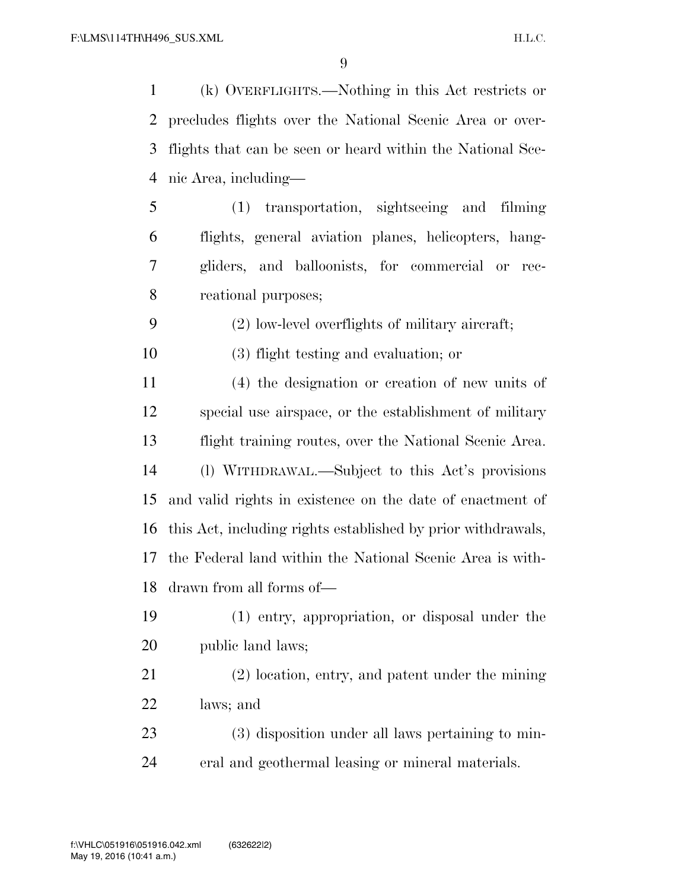(k) OVERFLIGHTS.—Nothing in this Act restricts or precludes flights over the National Scenic Area or over- flights that can be seen or heard within the National Sce-nic Area, including—

 (1) transportation, sightseeing and filming flights, general aviation planes, helicopters, hang- gliders, and balloonists, for commercial or rec-reational purposes;

(2) low-level overflights of military aircraft;

(3) flight testing and evaluation; or

 (4) the designation or creation of new units of special use airspace, or the establishment of military flight training routes, over the National Scenic Area. (l) WITHDRAWAL.—Subject to this Act's provisions and valid rights in existence on the date of enactment of this Act, including rights established by prior withdrawals, the Federal land within the National Scenic Area is with-drawn from all forms of—

 (1) entry, appropriation, or disposal under the public land laws;

 (2) location, entry, and patent under the mining laws; and

 (3) disposition under all laws pertaining to min-eral and geothermal leasing or mineral materials.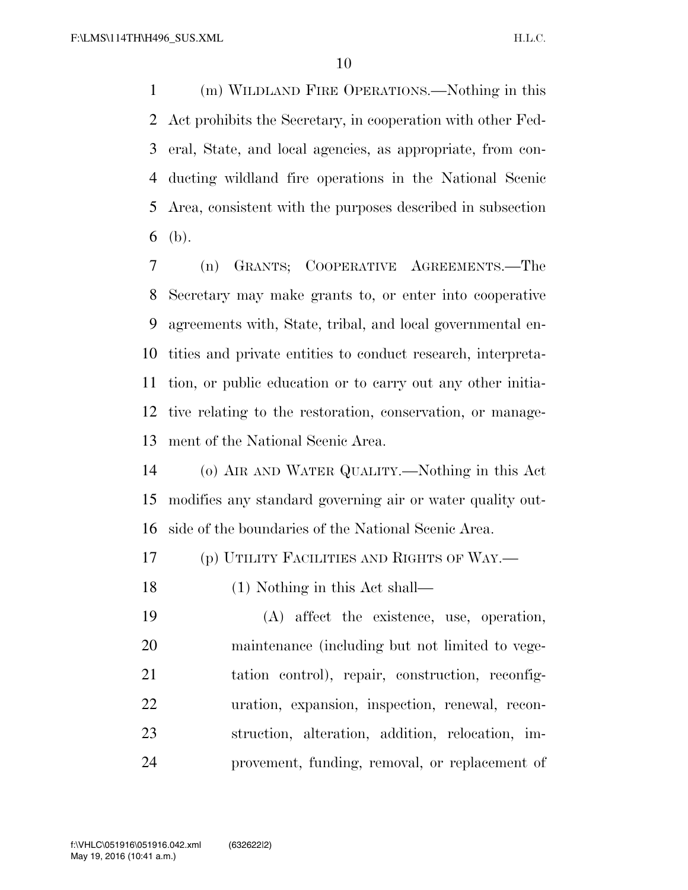(m) WILDLAND FIRE OPERATIONS.—Nothing in this Act prohibits the Secretary, in cooperation with other Fed- eral, State, and local agencies, as appropriate, from con- ducting wildland fire operations in the National Scenic Area, consistent with the purposes described in subsection (b).

 (n) GRANTS; COOPERATIVE AGREEMENTS.—The Secretary may make grants to, or enter into cooperative agreements with, State, tribal, and local governmental en- tities and private entities to conduct research, interpreta- tion, or public education or to carry out any other initia- tive relating to the restoration, conservation, or manage-ment of the National Scenic Area.

 (o) AIR AND WATER QUALITY.—Nothing in this Act modifies any standard governing air or water quality out-side of the boundaries of the National Scenic Area.

(p) UTILITY FACILITIES AND RIGHTS OF WAY.—

(1) Nothing in this Act shall—

 (A) affect the existence, use, operation, maintenance (including but not limited to vege- tation control), repair, construction, reconfig- uration, expansion, inspection, renewal, recon- struction, alteration, addition, relocation, im-provement, funding, removal, or replacement of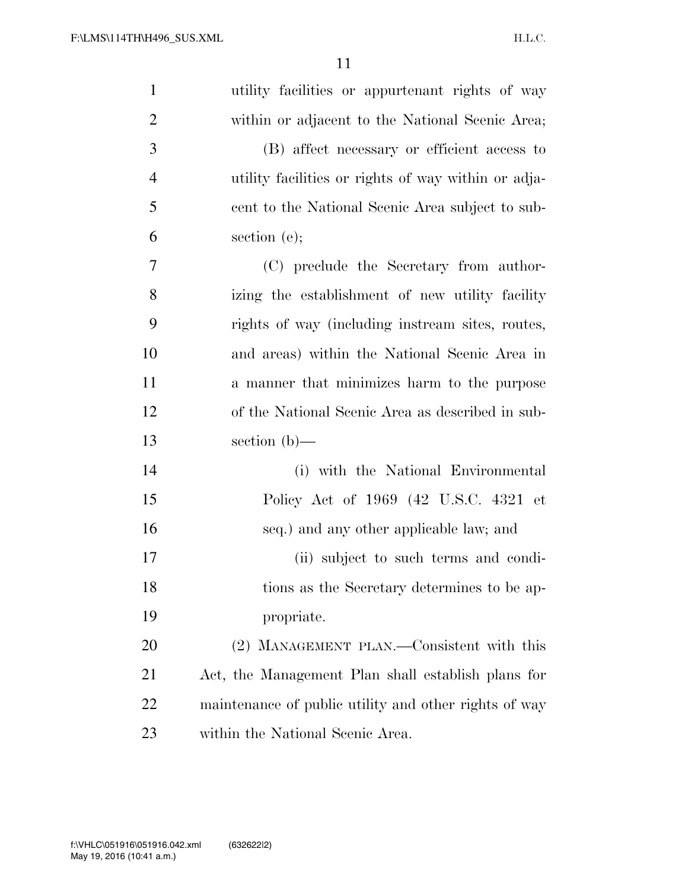| $\mathbf{1}$   | utility facilities or appurtenant rights of way       |
|----------------|-------------------------------------------------------|
| $\overline{2}$ | within or adjacent to the National Scenic Area;       |
| 3              | (B) affect necessary or efficient access to           |
| $\overline{4}$ | utility facilities or rights of way within or adja-   |
| 5              | cent to the National Scenic Area subject to sub-      |
| 6              | section $(e)$ ;                                       |
| 7              | (C) preclude the Secretary from author-               |
| 8              | izing the establishment of new utility facility       |
| 9              | rights of way (including instream sites, routes,      |
| 10             | and areas) within the National Scenic Area in         |
| 11             | a manner that minimizes harm to the purpose           |
| 12             | of the National Scenic Area as described in sub-      |
| 13             | section $(b)$ —                                       |
| 14             | (i) with the National Environmental                   |
| 15             | Policy Act of 1969 (42 U.S.C. 4321 et                 |
| 16             | seq.) and any other applicable law; and               |
| 17             | (ii) subject to such terms and condi-                 |
| 18             | tions as the Secretary determines to be ap-           |
| 19             | propriate.                                            |
| 20             | (2) MANAGEMENT PLAN.—Consistent with this             |
| 21             | Act, the Management Plan shall establish plans for    |
| 22             | maintenance of public utility and other rights of way |
| 23             | within the National Scenic Area.                      |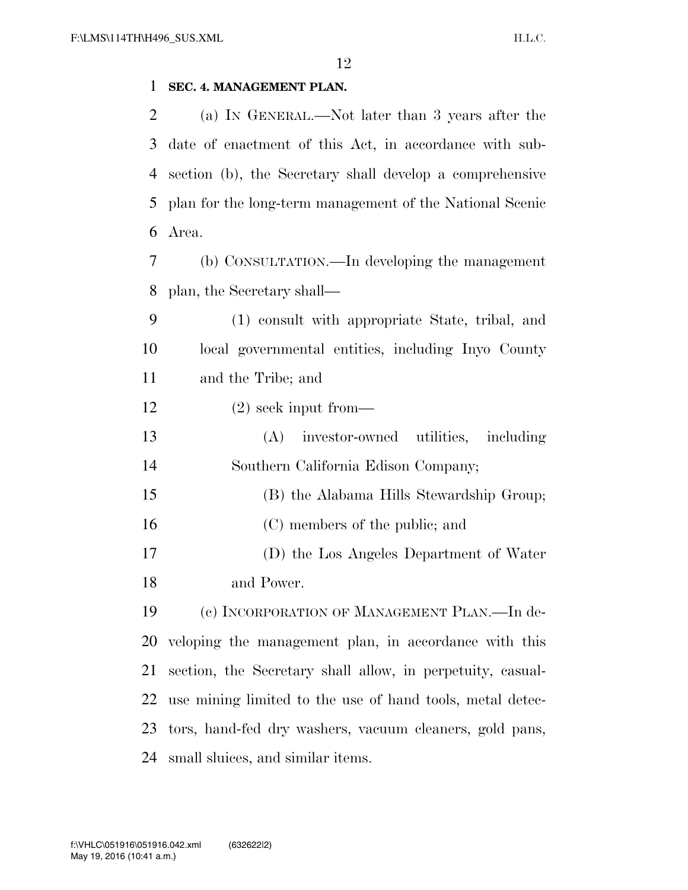#### **SEC. 4. MANAGEMENT PLAN.**

 (a) IN GENERAL.—Not later than 3 years after the date of enactment of this Act, in accordance with sub- section (b), the Secretary shall develop a comprehensive plan for the long-term management of the National Scenic Area. (b) CONSULTATION.—In developing the management plan, the Secretary shall— (1) consult with appropriate State, tribal, and local governmental entities, including Inyo County and the Tribe; and (2) seek input from— (A) investor-owned utilities, including Southern California Edison Company; (B) the Alabama Hills Stewardship Group; 16 (C) members of the public; and (D) the Los Angeles Department of Water and Power. (c) INCORPORATION OF MANAGEMENT PLAN.—In de- veloping the management plan, in accordance with this section, the Secretary shall allow, in perpetuity, casual- use mining limited to the use of hand tools, metal detec-tors, hand-fed dry washers, vacuum cleaners, gold pans,

small sluices, and similar items.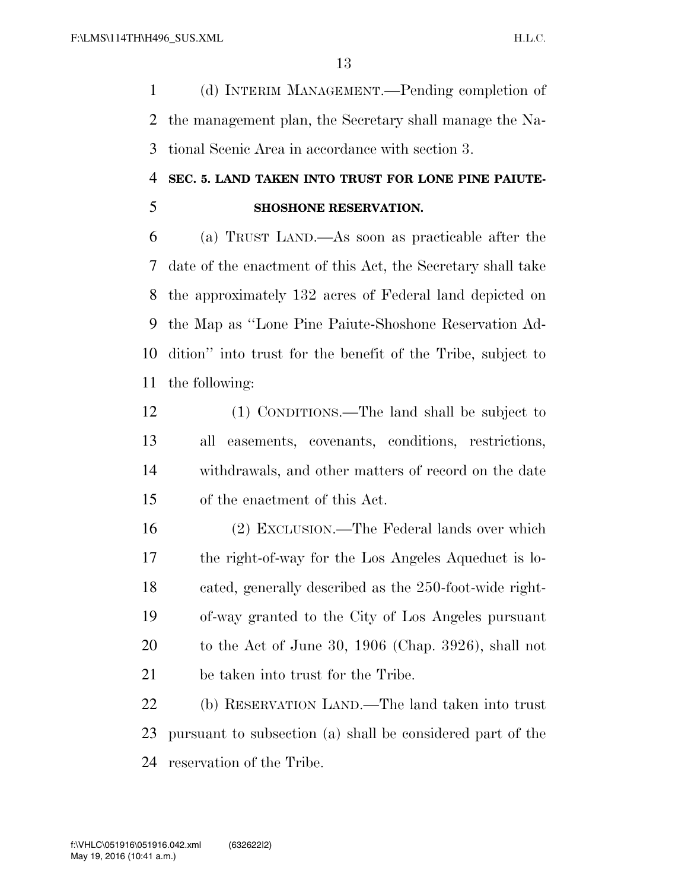(d) INTERIM MANAGEMENT.—Pending completion of the management plan, the Secretary shall manage the Na-tional Scenic Area in accordance with section 3.

### **SEC. 5. LAND TAKEN INTO TRUST FOR LONE PINE PAIUTE-SHOSHONE RESERVATION.**

 (a) TRUST LAND.—As soon as practicable after the date of the enactment of this Act, the Secretary shall take the approximately 132 acres of Federal land depicted on the Map as ''Lone Pine Paiute-Shoshone Reservation Ad- dition'' into trust for the benefit of the Tribe, subject to the following:

 (1) CONDITIONS.—The land shall be subject to all easements, covenants, conditions, restrictions, withdrawals, and other matters of record on the date of the enactment of this Act.

 (2) EXCLUSION.—The Federal lands over which the right-of-way for the Los Angeles Aqueduct is lo- cated, generally described as the 250-foot-wide right- of-way granted to the City of Los Angeles pursuant to the Act of June 30, 1906 (Chap. 3926), shall not be taken into trust for the Tribe.

 (b) RESERVATION LAND.—The land taken into trust pursuant to subsection (a) shall be considered part of the reservation of the Tribe.